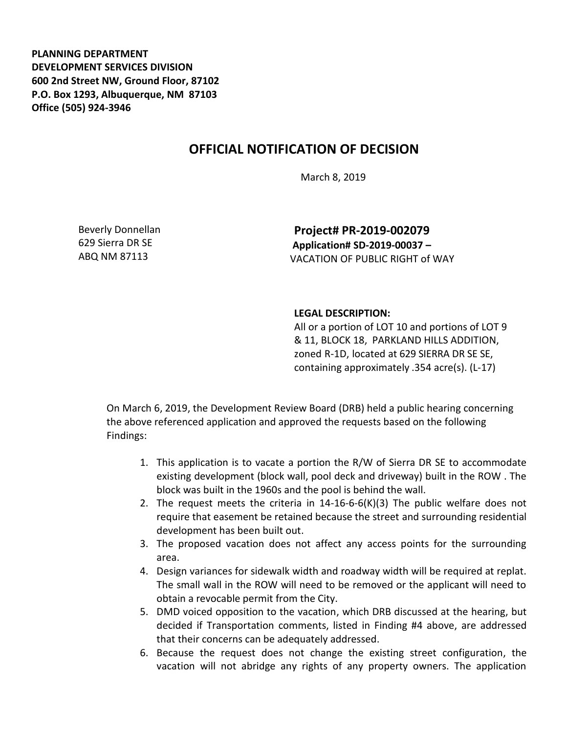**PLANNING DEPARTMENT DEVELOPMENT SERVICES DIVISION 600 2nd Street NW, Ground Floor, 87102 P.O. Box 1293, Albuquerque, NM 87103 Office (505) 924-3946** 

## **OFFICIAL NOTIFICATION OF DECISION**

March 8, 2019

Beverly Donnellan 629 Sierra DR SE ABQ NM 87113

**Project# PR-2019-002079 Application# SD-2019-00037 –** VACATION OF PUBLIC RIGHT of WAY

## **LEGAL DESCRIPTION:**

All or a portion of LOT 10 and portions of LOT 9 & 11, BLOCK 18, PARKLAND HILLS ADDITION, zoned R-1D, located at 629 SIERRA DR SE SE, containing approximately .354 acre(s). (L-17)

On March 6, 2019, the Development Review Board (DRB) held a public hearing concerning the above referenced application and approved the requests based on the following Findings:

- 1. This application is to vacate a portion the R/W of Sierra DR SE to accommodate existing development (block wall, pool deck and driveway) built in the ROW . The block was built in the 1960s and the pool is behind the wall.
- 2. The request meets the criteria in  $14-16-6-6(K)(3)$  The public welfare does not require that easement be retained because the street and surrounding residential development has been built out.
- 3. The proposed vacation does not affect any access points for the surrounding area.
- 4. Design variances for sidewalk width and roadway width will be required at replat. The small wall in the ROW will need to be removed or the applicant will need to obtain a revocable permit from the City.
- 5. DMD voiced opposition to the vacation, which DRB discussed at the hearing, but decided if Transportation comments, listed in Finding #4 above, are addressed that their concerns can be adequately addressed.
- 6. Because the request does not change the existing street configuration, the vacation will not abridge any rights of any property owners. The application